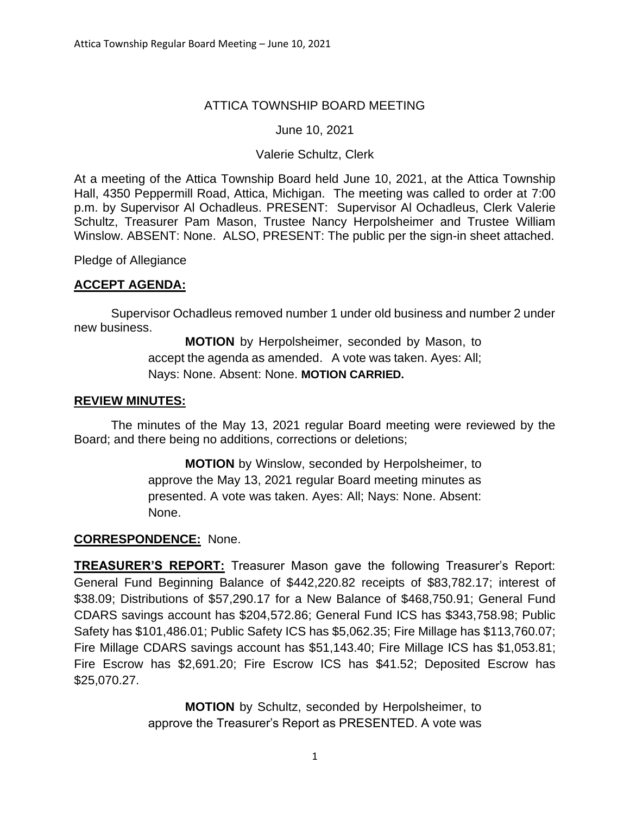## ATTICA TOWNSHIP BOARD MEETING

### June 10, 2021

### Valerie Schultz, Clerk

At a meeting of the Attica Township Board held June 10, 2021, at the Attica Township Hall, 4350 Peppermill Road, Attica, Michigan. The meeting was called to order at 7:00 p.m. by Supervisor Al Ochadleus. PRESENT: Supervisor Al Ochadleus, Clerk Valerie Schultz, Treasurer Pam Mason, Trustee Nancy Herpolsheimer and Trustee William Winslow. ABSENT: None. ALSO, PRESENT: The public per the sign-in sheet attached.

Pledge of Allegiance

### **ACCEPT AGENDA:**

Supervisor Ochadleus removed number 1 under old business and number 2 under new business.

> **MOTION** by Herpolsheimer, seconded by Mason, to accept the agenda as amended. A vote was taken. Ayes: All; Nays: None. Absent: None. **MOTION CARRIED.**

### **REVIEW MINUTES:**

The minutes of the May 13, 2021 regular Board meeting were reviewed by the Board; and there being no additions, corrections or deletions;

> **MOTION** by Winslow, seconded by Herpolsheimer, to approve the May 13, 2021 regular Board meeting minutes as presented. A vote was taken. Ayes: All; Nays: None. Absent: None.

### **CORRESPONDENCE:** None.

**TREASURER'S REPORT:** Treasurer Mason gave the following Treasurer's Report: General Fund Beginning Balance of \$442,220.82 receipts of \$83,782.17; interest of \$38.09; Distributions of \$57,290.17 for a New Balance of \$468,750.91; General Fund CDARS savings account has \$204,572.86; General Fund ICS has \$343,758.98; Public Safety has \$101,486.01; Public Safety ICS has \$5,062.35; Fire Millage has \$113,760.07; Fire Millage CDARS savings account has \$51,143.40; Fire Millage ICS has \$1,053.81; Fire Escrow has \$2,691.20; Fire Escrow ICS has \$41.52; Deposited Escrow has \$25,070.27.

> **MOTION** by Schultz, seconded by Herpolsheimer, to approve the Treasurer's Report as PRESENTED. A vote was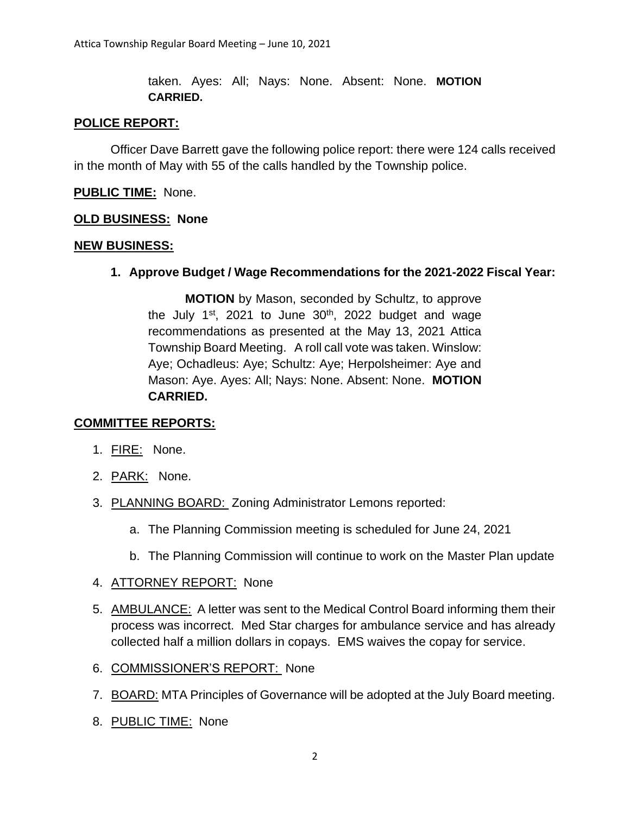taken. Ayes: All; Nays: None. Absent: None. **MOTION CARRIED.**

### **POLICE REPORT:**

Officer Dave Barrett gave the following police report: there were 124 calls received in the month of May with 55 of the calls handled by the Township police.

### **PUBLIC TIME:** None.

### **OLD BUSINESS: None**

### **NEW BUSINESS:**

**1. Approve Budget / Wage Recommendations for the 2021-2022 Fiscal Year:** 

**MOTION** by Mason, seconded by Schultz, to approve the July  $1^{st}$ , 2021 to June  $30^{th}$ , 2022 budget and wage recommendations as presented at the May 13, 2021 Attica Township Board Meeting. A roll call vote was taken. Winslow: Aye; Ochadleus: Aye; Schultz: Aye; Herpolsheimer: Aye and Mason: Aye. Ayes: All; Nays: None. Absent: None. **MOTION CARRIED.**

### **COMMITTEE REPORTS:**

- 1. FIRE: None.
- 2. PARK: None.
- 3. PLANNING BOARD: Zoning Administrator Lemons reported:
	- a. The Planning Commission meeting is scheduled for June 24, 2021
	- b. The Planning Commission will continue to work on the Master Plan update
- 4. ATTORNEY REPORT: None
- 5. AMBULANCE: A letter was sent to the Medical Control Board informing them their process was incorrect. Med Star charges for ambulance service and has already collected half a million dollars in copays. EMS waives the copay for service.
- 6. COMMISSIONER'S REPORT: None
- 7. BOARD: MTA Principles of Governance will be adopted at the July Board meeting.
- 8. PUBLIC TIME: None